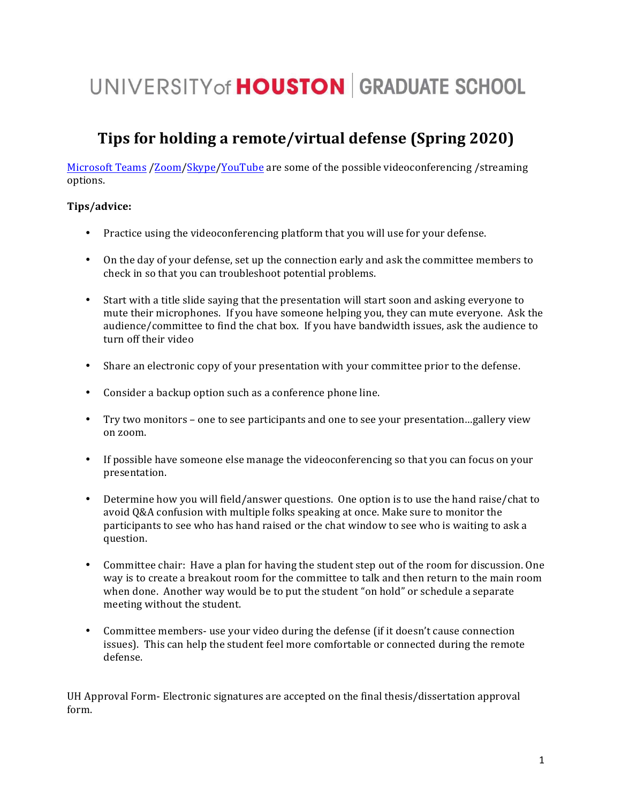## UNIVERSITY of HOUSTON GRADUATE SCHOOL

## **Tips for holding a remote/virtual defense (Spring 2020)**

Microsoft Teams /Zoom/Skype/YouTube are some of the possible videoconferencing /streaming options.

## **Tips/advice:**

- Practice using the videoconferencing platform that you will use for your defense.
- On the day of your defense, set up the connection early and ask the committee members to check in so that you can troubleshoot potential problems.
- Start with a title slide saying that the presentation will start soon and asking everyone to mute their microphones. If you have someone helping you, they can mute everyone. Ask the audience/committee to find the chat box. If you have bandwidth issues, ask the audience to turn off their video
- Share an electronic copy of your presentation with your committee prior to the defense.
- Consider a backup option such as a conference phone line.
- Try two monitors one to see participants and one to see your presentation...gallery view on zoom.
- If possible have someone else manage the videoconferencing so that you can focus on your presentation.
- Determine how you will field/answer questions. One option is to use the hand raise/chat to avoid Q&A confusion with multiple folks speaking at once. Make sure to monitor the participants to see who has hand raised or the chat window to see who is waiting to ask a question.
- Committee chair: Have a plan for having the student step out of the room for discussion. One way is to create a breakout room for the committee to talk and then return to the main room when done. Another way would be to put the student "on hold" or schedule a separate meeting without the student.
- Committee members- use your video during the defense (if it doesn't cause connection issues). This can help the student feel more comfortable or connected during the remote defense.

UH Approval Form- Electronic signatures are accepted on the final thesis/dissertation approval form.